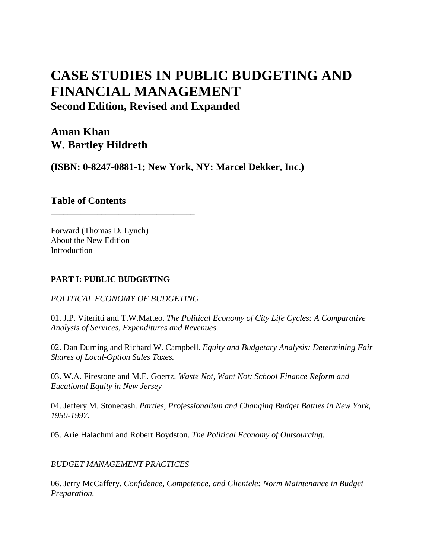# **CASE STUDIES IN PUBLIC BUDGETING AND FINANCIAL MANAGEMENT Second Edition, Revised and Expanded**

## **Aman Khan W. Bartley Hildreth**

**(ISBN: 0-8247-0881-1; New York, NY: Marcel Dekker, Inc.)** 

## **Table of Contents**

Forward (Thomas D. Lynch) About the New Edition Introduction

### **PART I: PUBLIC BUDGETING**

#### *POLITICAL ECONOMY OF BUDGETING*

\_\_\_\_\_\_\_\_\_\_\_\_\_\_\_\_\_\_\_\_\_\_\_\_\_\_\_\_\_\_\_\_\_\_

01. J.P. Viteritti and T.W.Matteo. *The Political Economy of City Life Cycles: A Comparative Analysis of Services, Expenditures and Revenues*.

02. Dan Durning and Richard W. Campbell. *Equity and Budgetary Analysis: Determining Fair Shares of Local-Option Sales Taxes.*

03. W.A. Firestone and M.E. Goertz. *Waste Not, Want Not: School Finance Reform and Eucational Equity in New Jersey* 

04. Jeffery M. Stonecash. *Parties, Professionalism and Changing Budget Battles in New York, 1950-1997.*

05. Arie Halachmi and Robert Boydston. *The Political Economy of Outsourcing.*

*BUDGET MANAGEMENT PRACTICES*

06. Jerry McCaffery. *Confidence, Competence, and Clientele: Norm Maintenance in Budget Preparation.*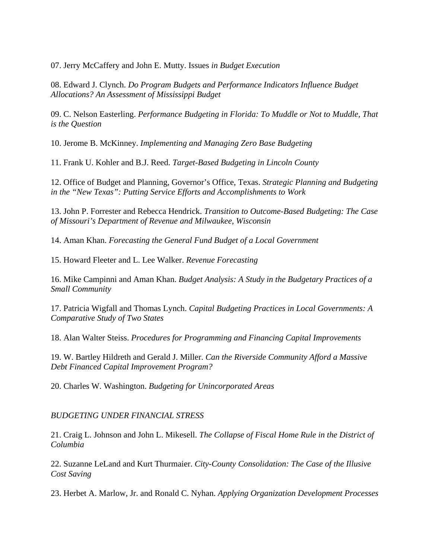07. Jerry McCaffery and John E. Mutty. Issues *in Budget Execution*

08. Edward J. Clynch. *Do Program Budgets and Performance Indicators Influence Budget Allocations? An Assessment of Mississippi Budget*

09. C. Nelson Easterling. *Performance Budgeting in Florida: To Muddle or Not to Muddle, That is the Question*

10. Jerome B. McKinney. *Implementing and Managing Zero Base Budgeting*

11. Frank U. Kohler and B.J. Reed. *Target-Based Budgeting in Lincoln County*

12. Office of Budget and Planning, Governor's Office, Texas. *Strategic Planning and Budgeting in the "New Texas": Putting Service Efforts and Accomplishments to Work*

13. John P. Forrester and Rebecca Hendrick. *Transition to Outcome-Based Budgeting: The Case of Missouri's Department of Revenue and Milwaukee, Wisconsin*

14. Aman Khan. *Forecasting the General Fund Budget of a Local Government*

15. Howard Fleeter and L. Lee Walker. *Revenue Forecasting*

16. Mike Campinni and Aman Khan. *Budget Analysis: A Study in the Budgetary Practices of a Small Community*

17. Patricia Wigfall and Thomas Lynch. *Capital Budgeting Practices in Local Governments: A Comparative Study of Two States*

18. Alan Walter Steiss. *Procedures for Programming and Financing Capital Improvements*

19. W. Bartley Hildreth and Gerald J. Miller. *Can the Riverside Community Afford a Massive Debt Financed Capital Improvement Program?*

20. Charles W. Washington. *Budgeting for Unincorporated Areas*

#### *BUDGETING UNDER FINANCIAL STRESS*

21. Craig L. Johnson and John L. Mikesell. *The Collapse of Fiscal Home Rule in the District of Columbia*

22. Suzanne LeLand and Kurt Thurmaier. *City-County Consolidation: The Case of the Illusive Cost Saving* 

23. Herbet A. Marlow, Jr. and Ronald C. Nyhan. *Applying Organization Development Processes*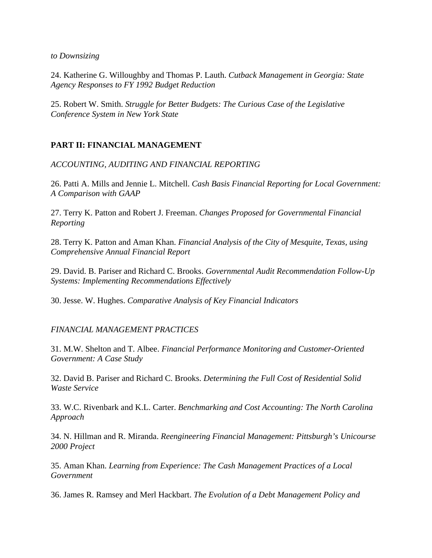*to Downsizing*

24. Katherine G. Willoughby and Thomas P. Lauth. *Cutback Management in Georgia: State Agency Responses to FY 1992 Budget Reduction*

25. Robert W. Smith. *Struggle for Better Budgets: The Curious Case of the Legislative Conference System in New York State*

#### **PART II: FINANCIAL MANAGEMENT**

*ACCOUNTING, AUDITING AND FINANCIAL REPORTING*

26. Patti A. Mills and Jennie L. Mitchell. *Cash Basis Financial Reporting for Local Government: A Comparison with GAAP*

27. Terry K. Patton and Robert J. Freeman. *Changes Proposed for Governmental Financial Reporting* 

28. Terry K. Patton and Aman Khan. *Financial Analysis of the City of Mesquite, Texas, using Comprehensive Annual Financial Report*

29. David. B. Pariser and Richard C. Brooks. *Governmental Audit Recommendation Follow-Up Systems: Implementing Recommendations Effectively*

30. Jesse. W. Hughes. *Comparative Analysis of Key Financial Indicators*

#### *FINANCIAL MANAGEMENT PRACTICES*

31. M.W. Shelton and T. Albee. *Financial Performance Monitoring and Customer-Oriented Government: A Case Study*

32. David B. Pariser and Richard C. Brooks. *Determining the Full Cost of Residential Solid Waste Service*

33. W.C. Rivenbark and K.L. Carter. *Benchmarking and Cost Accounting: The North Carolina Approach*

34. N. Hillman and R. Miranda. *Reengineering Financial Management: Pittsburgh's Unicourse 2000 Project*

35. Aman Khan. *Learning from Experience: The Cash Management Practices of a Local Government*

36. James R. Ramsey and Merl Hackbart. *The Evolution of a Debt Management Policy and*